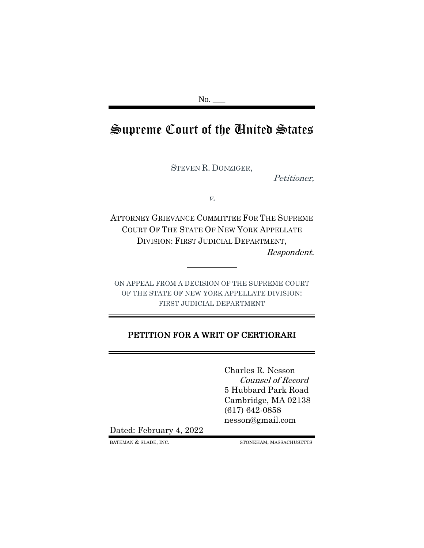No.

# Supreme Court of the United States

STEVEN R. DONZIGER,

Petitioner,

v.

ATTORNEY GRIEVANCE COMMITTEE FOR THE SUPREME COURT OF THE STATE OF NEW YORK APPELLATE DIVISION: FIRST JUDICIAL DEPARTMENT, Respondent.

ON APPEAL FROM A DECISION OF THE SUPREME COURT OF THE STATE OF NEW YORK APPELLATE DIVISION: FIRST JUDICIAL DEPARTMENT

# PETITION FOR A WRIT OF CERTIORARI

Charles R. Nesson Counsel of Record 5 Hubbard Park Road Cambridge, MA 02138 (617) 642-0858 nesson@gmail.com

Dated: February 4, 2022

BATEMAN  $\&$  SLADE, INC. STONEHAM, MASSACHUSETTS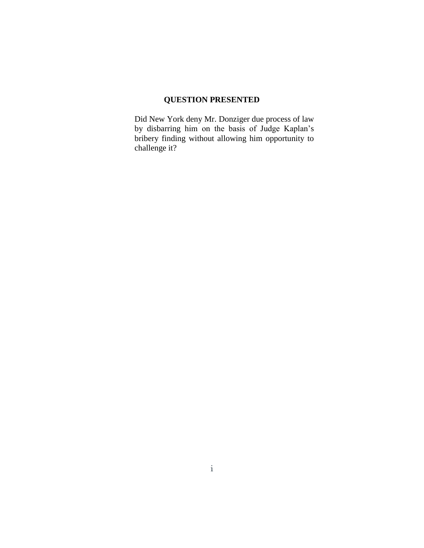# **QUESTION PRESENTED**

Did New York deny Mr. Donziger due process of law by disbarring him on the basis of Judge Kaplan's bribery finding without allowing him opportunity to challenge it?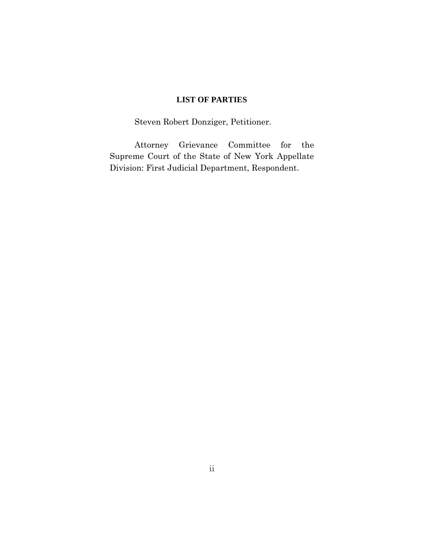### **LIST OF PARTIES**

Steven Robert Donziger, Petitioner.

Attorney Grievance Committee for the Supreme Court of the State of New York Appellate Division: First Judicial Department, Respondent.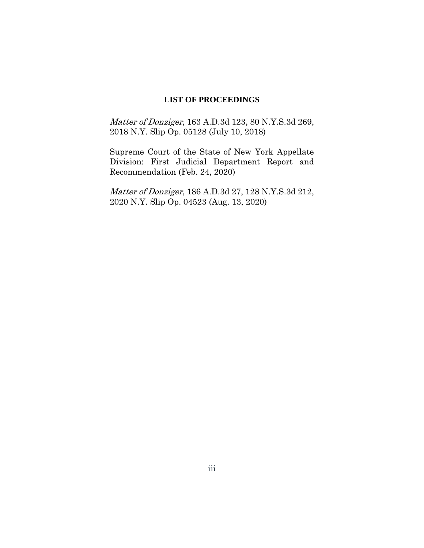#### **LIST OF PROCEEDINGS**

Matter of Donziger, 163 A.D.3d 123, 80 N.Y.S.3d 269, 2018 N.Y. Slip Op. 05128 (July 10, 2018)

Supreme Court of the State of New York Appellate Division: First Judicial Department Report and Recommendation (Feb. 24, 2020)

Matter of Donziger, 186 A.D.3d 27, 128 N.Y.S.3d 212, 2020 N.Y. Slip Op. 04523 (Aug. 13, 2020)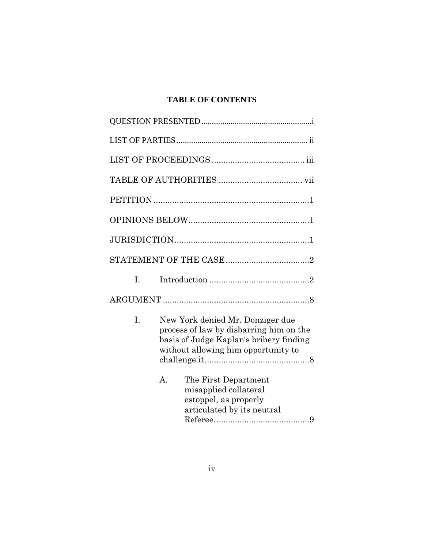# **TABLE OF CONTENTS**

| L.             |                                                                                                                                                               |
|----------------|---------------------------------------------------------------------------------------------------------------------------------------------------------------|
|                |                                                                                                                                                               |
| I.             | New York denied Mr. Donziger due<br>process of law by disbarring him on the<br>basis of Judge Kaplan's bribery finding<br>without allowing him opportunity to |
| $\mathbf{A}$ . | The First Department<br>misapplied collateral<br>estoppel, as properly<br>articulated by its neutral                                                          |

Referee.........................................9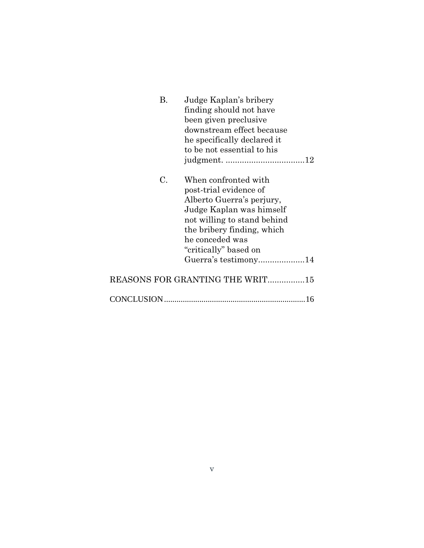| В. | Judge Kaplan's bribery          |
|----|---------------------------------|
|    | finding should not have         |
|    | been given preclusive           |
|    | downstream effect because       |
|    | he specifically declared it     |
|    | to be not essential to his      |
|    |                                 |
| C. | When confronted with            |
|    | post-trial evidence of          |
|    | Alberto Guerra's perjury,       |
|    | Judge Kaplan was himself        |
|    | not willing to stand behind     |
|    | the bribery finding, which      |
|    | he conceded was                 |
|    | "critically" based on           |
|    | Guerra's testimony14            |
|    | REASONS FOR GRANTING THE WRIT15 |
|    |                                 |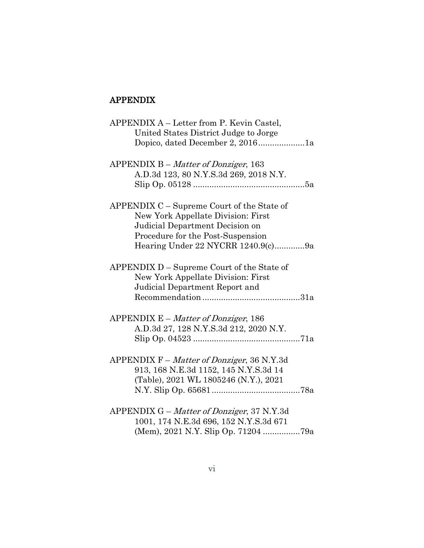# APPENDIX

| APPENDIX A - Letter from P. Kevin Castel,  |
|--------------------------------------------|
| United States District Judge to Jorge      |
| Dopico, dated December 2, 20161a           |
|                                            |
| APPENDIX B – Matter of Donziger, 163       |
| A.D.3d 123, 80 N.Y.S.3d 269, 2018 N.Y.     |
|                                            |
|                                            |
| APPENDIX C - Supreme Court of the State of |
| New York Appellate Division: First         |
|                                            |
| Judicial Department Decision on            |
| Procedure for the Post-Suspension          |
| Hearing Under 22 NYCRR 1240.9(c)9a         |
|                                            |
| APPENDIX D - Supreme Court of the State of |
| New York Appellate Division: First         |
| Judicial Department Report and             |
|                                            |
|                                            |
| $APPENDIX E - Matter of Donziger, 186$     |
| A.D.3d 27, 128 N.Y.S.3d 212, 2020 N.Y.     |
|                                            |
|                                            |
| APPENDIX F – Matter of Donziger, 36 N.Y.3d |
| 913, 168 N.E.3d 1152, 145 N.Y.S.3d 14      |
| (Table), 2021 WL 1805246 (N.Y.), 2021      |
|                                            |
|                                            |
|                                            |
| APPENDIX G - Matter of Donziger, 37 N.Y.3d |
| 1001, 174 N.E.3d 696, 152 N.Y.S.3d 671     |
|                                            |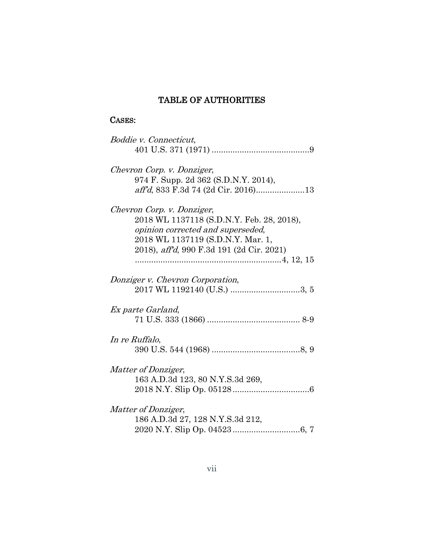# TABLE OF AUTHORITIES

# CASES:

| Boddie v. Connecticut,                                                 |
|------------------------------------------------------------------------|
| Chevron Corp. v. Donziger,<br>974 F. Supp. 2d 362 (S.D.N.Y. 2014),     |
| aff'd, 833 F.3d 74 (2d Cir. 2016)13                                    |
| Chevron Corp. v. Donziger,                                             |
| 2018 WL 1137118 (S.D.N.Y. Feb. 28, 2018),                              |
| opinion corrected and superseded,<br>2018 WL 1137119 (S.D.N.Y. Mar. 1, |
| 2018), aff'd, 990 F.3d 191 (2d Cir. 2021)                              |
|                                                                        |
| Donziger v. Chevron Corporation,                                       |
|                                                                        |
| Ex parte Garland,                                                      |
|                                                                        |
| In re Ruffalo,                                                         |
|                                                                        |
| <i>Matter of Donziger,</i>                                             |
| 163 A.D.3d 123, 80 N.Y.S.3d 269,                                       |
|                                                                        |
| Matter of Donziger,                                                    |
| 186 A.D.3d 27, 128 N.Y.S.3d 212,                                       |
|                                                                        |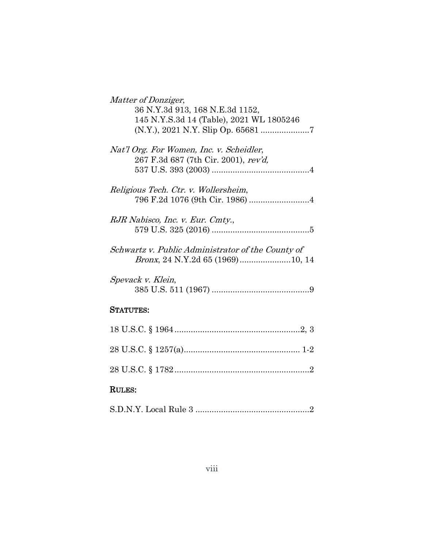| Matter of Donziger,                                                              |
|----------------------------------------------------------------------------------|
| 36 N.Y.3d 913, 168 N.E.3d 1152,                                                  |
| 145 N.Y.S.3d 14 (Table), 2021 WL 1805246                                         |
|                                                                                  |
| Nat'l Org. For Women, Inc. v. Scheidler,<br>267 F.3d 687 (7th Cir. 2001), rev'd, |
|                                                                                  |
| Religious Tech. Ctr. v. Wollersheim,                                             |
|                                                                                  |
|                                                                                  |
| RJR Nabisco, Inc. v. Eur. Cmty.,                                                 |
|                                                                                  |
| Schwartz v. Public Administrator of the County of                                |
|                                                                                  |
|                                                                                  |
| Spevack v. Klein,                                                                |
|                                                                                  |
| <b>STATUTES:</b>                                                                 |
|                                                                                  |
|                                                                                  |
|                                                                                  |
|                                                                                  |
|                                                                                  |
|                                                                                  |
| <b>RULES:</b>                                                                    |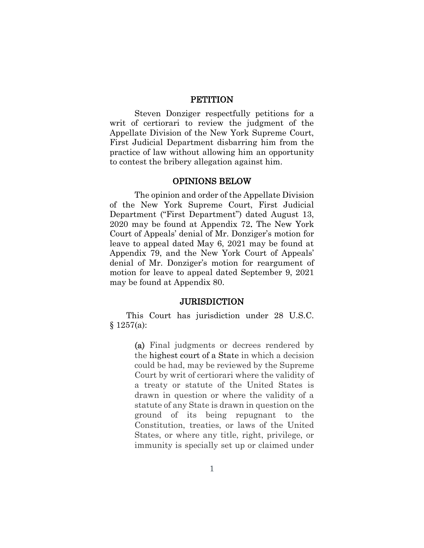#### **PETITION**

Steven Donziger respectfully petitions for a writ of certiorari to review the judgment of the Appellate Division of the New York Supreme Court, First Judicial Department disbarring him from the practice of law without allowing him an opportunity to contest the bribery allegation against him.

#### OPINIONS BELOW

The opinion and order of the Appellate Division of the New York Supreme Court, First Judicial Department ("First Department") dated August 13, 2020 may be found at Appendix 72. The New York Court of Appeals' denial of Mr. Donziger's motion for leave to appeal dated May 6, 2021 may be found at Appendix 79, and the New York Court of Appeals' denial of Mr. Donziger's motion for reargument of motion for leave to appeal dated September 9, 2021 may be found at Appendix 80.

#### **JURISDICTION**

This Court has jurisdiction under 28 U.S.C.  $§ 1257(a):$ 

> (a) Final judgments or decrees rendered by the highest court of a State in which a decision could be had, may be reviewed by the Supreme Court by writ of certiorari where the validity of a treaty or statute of the United States is drawn in question or where the validity of a statute of any State is drawn in question on the ground of its being repugnant to the Constitution, treaties, or laws of the United States, or where any title, right, privilege, or immunity is specially set up or claimed under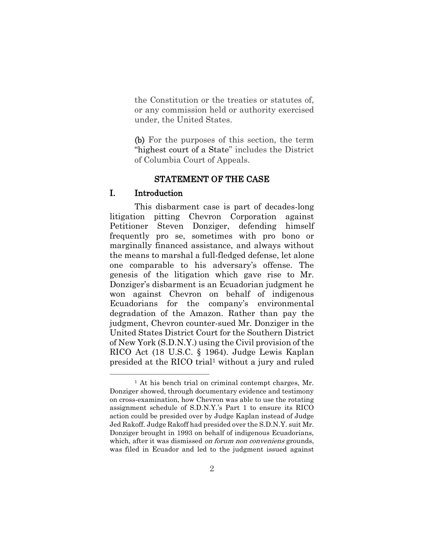the Constitution or the treaties or statutes of, or any commission held or authority exercised under, the United States.

(b) For the purposes of this section, the term "highest court of a State" includes the District of Columbia Court of Appeals.

### STATEMENT OF THE CASE

#### I. Introduction

 $\overline{a}$ 

This disbarment case is part of decades-long litigation pitting Chevron Corporation against Petitioner Steven Donziger, defending himself frequently pro se, sometimes with pro bono or marginally financed assistance, and always without the means to marshal a full-fledged defense, let alone one comparable to his adversary's offense. The genesis of the litigation which gave rise to Mr. Donziger's disbarment is an Ecuadorian judgment he won against Chevron on behalf of indigenous Ecuadorians for the company's environmental degradation of the Amazon. Rather than pay the judgment, Chevron counter-sued Mr. Donziger in the United States District Court for the Southern District of New York (S.D.N.Y.) using the Civil provision of the RICO Act (18 U.S.C. § 1964). Judge Lewis Kaplan presided at the RICO trial<sup>1</sup> without a jury and ruled

<sup>&</sup>lt;sup>1</sup> At his bench trial on criminal contempt charges, Mr. Donziger showed, through documentary evidence and testimony on cross-examination, how Chevron was able to use the rotating assignment schedule of S.D.N.Y.'s Part 1 to ensure its RICO action could be presided over by Judge Kaplan instead of Judge Jed Rakoff. Judge Rakoff had presided over the S.D.N.Y. suit Mr. Donziger brought in 1993 on behalf of indigenous Ecuadorians, which, after it was dismissed *on forum non conveniens* grounds, was filed in Ecuador and led to the judgment issued against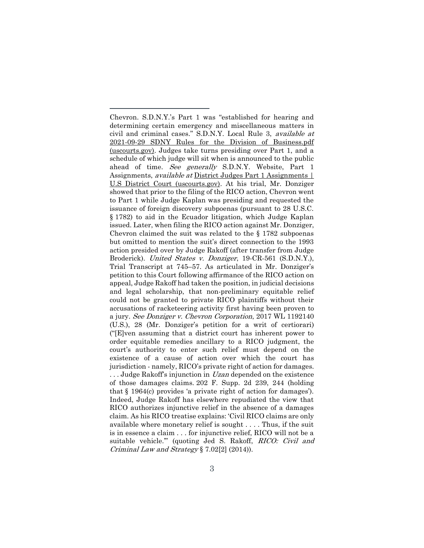Chevron. S.D.N.Y.'s Part 1 was "established for hearing and determining certain emergency and miscellaneous matters in civil and criminal cases." S.D.N.Y. Local Rule 3, available at 2021-09-29 SDNY Rules for the Division of Business.pdf (uscourts.gov). Judges take turns presiding over Part 1, and a schedule of which judge will sit when is announced to the public ahead of time. See generally S.D.N.Y. Website, Part 1 Assignments, *available at District Judges Part 1 Assignments* | U.S District Court (uscourts.gov). At his trial, Mr. Donziger showed that prior to the filing of the RICO action, Chevron went to Part 1 while Judge Kaplan was presiding and requested the issuance of foreign discovery subpoenas (pursuant to 28 U.S.C. § 1782) to aid in the Ecuador litigation, which Judge Kaplan issued. Later, when filing the RICO action against Mr. Donziger, Chevron claimed the suit was related to the § 1782 subpoenas but omitted to mention the suit's direct connection to the 1993 action presided over by Judge Rakoff (after transfer from Judge Broderick). United States v. Donziger, 19-CR-561 (S.D.N.Y.), Trial Transcript at 745–57. As articulated in Mr. Donziger's petition to this Court following affirmance of the RICO action on appeal, Judge Rakoff had taken the position, in judicial decisions and legal scholarship, that non-preliminary equitable relief could not be granted to private RICO plaintiffs without their accusations of racketeering activity first having been proven to a jury. See Donziger v. Chevron Corporation, 2017 WL 1192140 (U.S.), 28 (Mr. Donziger's petition for a writ of certiorari) ("[E]ven assuming that a district court has inherent power to order equitable remedies ancillary to a RICO judgment, the court's authority to enter such relief must depend on the existence of a cause of action over which the court has jurisdiction - namely, RICO's private right of action for damages.  $\ldots$  Judge Rakoff's injunction in *Uzan* depended on the existence of those damages claims. 202 F. Supp. 2d 239, 244 (holding that § 1964(c) provides 'a private right of action for damages'). Indeed, Judge Rakoff has elsewhere repudiated the view that RICO authorizes injunctive relief in the absence of a damages claim. As his RICO treatise explains: 'Civil RICO claims are only available where monetary relief is sought . . . . Thus, if the suit is in essence a claim . . . for injunctive relief, RICO will not be a suitable vehicle."" (quoting Jed S. Rakoff, RICO: Civil and Criminal Law and Strategy § 7.02[2] (2014)).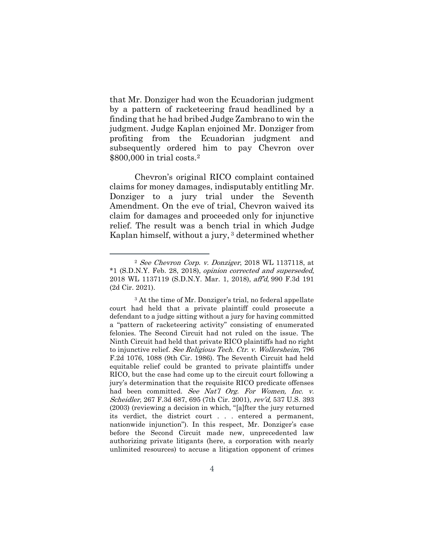that Mr. Donziger had won the Ecuadorian judgment by a pattern of racketeering fraud headlined by a finding that he had bribed Judge Zambrano to win the judgment. Judge Kaplan enjoined Mr. Donziger from profiting from the Ecuadorian judgment and subsequently ordered him to pay Chevron over \$800,000 in trial costs.<sup>2</sup>

Chevron's original RICO complaint contained claims for money damages, indisputably entitling Mr. Donziger to a jury trial under the Seventh Amendment. On the eve of trial, Chevron waived its claim for damages and proceeded only for injunctive relief. The result was a bench trial in which Judge Kaplan himself, without a jury, <sup>3</sup> determined whether

<sup>2</sup> See Chevron Corp. v. Donziger, 2018 WL 1137118, at \*1 (S.D.N.Y. Feb. 28, 2018), opinion corrected and superseded, 2018 WL 1137119 (S.D.N.Y. Mar. 1, 2018), aff'd, 990 F.3d 191 (2d Cir. 2021).

<sup>&</sup>lt;sup>3</sup> At the time of Mr. Donziger's trial, no federal appellate court had held that a private plaintiff could prosecute a defendant to a judge sitting without a jury for having committed a "pattern of racketeering activity" consisting of enumerated felonies. The Second Circuit had not ruled on the issue. The Ninth Circuit had held that private RICO plaintiffs had no right to injunctive relief. See Religious Tech. Ctr. v. Wollersheim, 796 F.2d 1076, 1088 (9th Cir. 1986). The Seventh Circuit had held equitable relief could be granted to private plaintiffs under RICO, but the case had come up to the circuit court following a jury's determination that the requisite RICO predicate offenses had been committed. See Nat'l Org. For Women, Inc. v. Scheidler, 267 F.3d 687, 695 (7th Cir. 2001), rev'd, 537 U.S. 393 (2003) (reviewing a decision in which, "[a]fter the jury returned its verdict, the district court . . . entered a permanent, nationwide injunction"). In this respect, Mr. Donziger's case before the Second Circuit made new, unprecedented law authorizing private litigants (here, a corporation with nearly unlimited resources) to accuse a litigation opponent of crimes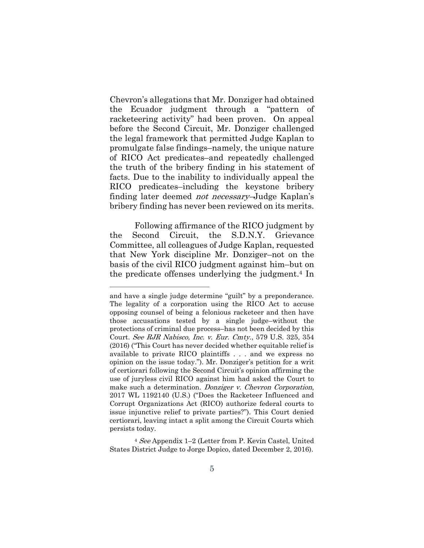Chevron's allegations that Mr. Donziger had obtained the Ecuador judgment through a "pattern of racketeering activity" had been proven. On appeal before the Second Circuit, Mr. Donziger challenged the legal framework that permitted Judge Kaplan to promulgate false findings–namely, the unique nature of RICO Act predicates–and repeatedly challenged the truth of the bribery finding in his statement of facts. Due to the inability to individually appeal the RICO predicates–including the keystone bribery finding later deemed not necessary–Judge Kaplan's bribery finding has never been reviewed on its merits.

Following affirmance of the RICO judgment by the Second Circuit, the S.D.N.Y. Grievance Committee, all colleagues of Judge Kaplan, requested that New York discipline Mr. Donziger–not on the basis of the civil RICO judgment against him–but on the predicate offenses underlying the judgment. <sup>4</sup> In

and have a single judge determine "guilt" by a preponderance. The legality of a corporation using the RICO Act to accuse opposing counsel of being a felonious racketeer and then have those accusations tested by a single judge–without the protections of criminal due process–has not been decided by this Court. See RJR Nabisco, Inc. v. Eur. Cmty., 579 U.S. 325, 354 (2016) ("This Court has never decided whether equitable relief is available to private RICO plaintiffs . . . and we express no opinion on the issue today."). Mr. Donziger's petition for a writ of certiorari following the Second Circuit's opinion affirming the use of juryless civil RICO against him had asked the Court to make such a determination. *Donziger v. Chevron Corporation*, 2017 WL 1192140 (U.S.) ("Does the Racketeer Influenced and Corrupt Organizations Act (RICO) authorize federal courts to issue injunctive relief to private parties?"). This Court denied certiorari, leaving intact a split among the Circuit Courts which persists today.

<sup>4</sup> See Appendix 1–2 (Letter from P. Kevin Castel, United States District Judge to Jorge Dopico, dated December 2, 2016).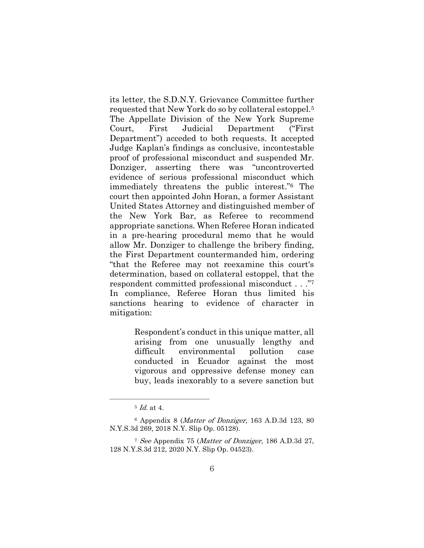its letter, the S.D.N.Y. Grievance Committee further requested that New York do so by collateral estoppel.<sup>5</sup> The Appellate Division of the New York Supreme Court, First Judicial Department ("First Department") acceded to both requests. It accepted Judge Kaplan's findings as conclusive, incontestable proof of professional misconduct and suspended Mr. Donziger, asserting there was "uncontroverted evidence of serious professional misconduct which immediately threatens the public interest." <sup>6</sup> The court then appointed John Horan, a former Assistant United States Attorney and distinguished member of the New York Bar, as Referee to recommend appropriate sanctions. When Referee Horan indicated in a pre-hearing procedural memo that he would allow Mr. Donziger to challenge the bribery finding, the First Department countermanded him, ordering "that the Referee may not reexamine this court's determination, based on collateral estoppel, that the respondent committed professional misconduct . . ." 7 In compliance, Referee Horan thus limited his sanctions hearing to evidence of character in mitigation:

> Respondent's conduct in this unique matter, all arising from one unusually lengthy and difficult environmental pollution case conducted in Ecuador against the most vigorous and oppressive defense money can buy, leads inexorably to a severe sanction but

 $5$  *Id.* at 4.

<sup>6</sup> Appendix 8 (Matter of Donziger, 163 A.D.3d 123, 80 N.Y.S.3d 269, 2018 N.Y. Slip Op. 05128).

<sup>7</sup> See Appendix 75 (Matter of Donziger, 186 A.D.3d 27, 128 N.Y.S.3d 212, 2020 N.Y. Slip Op. 04523).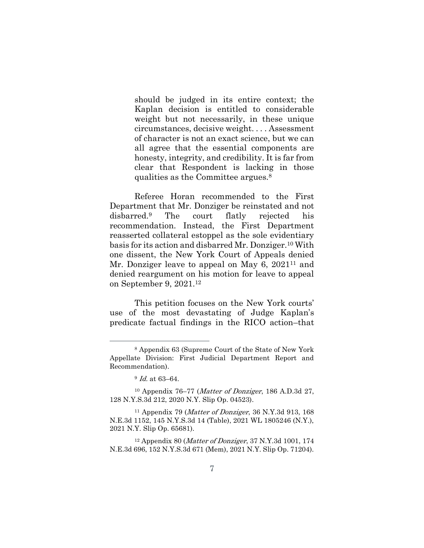should be judged in its entire context; the Kaplan decision is entitled to considerable weight but not necessarily, in these unique circumstances, decisive weight. . . . Assessment of character is not an exact science, but we can all agree that the essential components are honesty, integrity, and credibility. It is far from clear that Respondent is lacking in those qualities as the Committee argues.<sup>8</sup>

Referee Horan recommended to the First Department that Mr. Donziger be reinstated and not disbarred.<sup>9</sup> The court flatly rejected his recommendation. Instead, the First Department reasserted collateral estoppel as the sole evidentiary basis for its action and disbarred Mr. Donziger.<sup>10</sup> With one dissent, the New York Court of Appeals denied Mr. Donziger leave to appeal on May 6, 2021<sup>11</sup> and denied reargument on his motion for leave to appeal on September 9, 2021.<sup>12</sup>

This petition focuses on the New York courts' use of the most devastating of Judge Kaplan's predicate factual findings in the RICO action–that

<sup>8</sup> Appendix 63 (Supreme Court of the State of New York Appellate Division: First Judicial Department Report and Recommendation).

<sup>9</sup> Id. at 63–64.

<sup>&</sup>lt;sup>10</sup> Appendix 76–77 (*Matter of Donziger*, 186 A.D.3d 27, 128 N.Y.S.3d 212, 2020 N.Y. Slip Op. 04523).

<sup>&</sup>lt;sup>11</sup> Appendix 79 (*Matter of Donziger*, 36 N.Y.3d 913, 168) N.E.3d 1152, 145 N.Y.S.3d 14 (Table), 2021 WL 1805246 (N.Y.), 2021 N.Y. Slip Op. 65681).

<sup>&</sup>lt;sup>12</sup> Appendix 80 (Matter of Donziger, 37 N.Y.3d 1001, 174 N.E.3d 696, 152 N.Y.S.3d 671 (Mem), 2021 N.Y. Slip Op. 71204).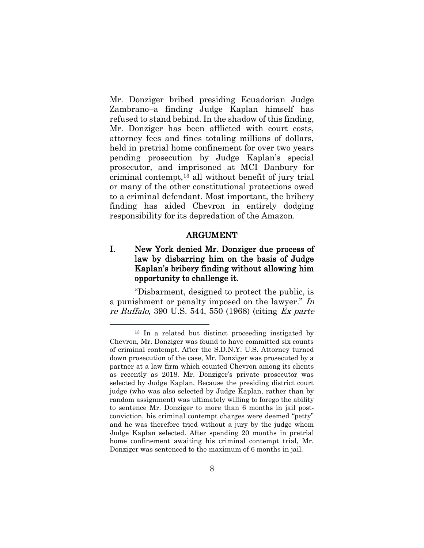Mr. Donziger bribed presiding Ecuadorian Judge Zambrano–a finding Judge Kaplan himself has refused to stand behind. In the shadow of this finding, Mr. Donziger has been afflicted with court costs, attorney fees and fines totaling millions of dollars, held in pretrial home confinement for over two years pending prosecution by Judge Kaplan's special prosecutor, and imprisoned at MCI Danbury for criminal contempt,<sup>13</sup> all without benefit of jury trial or many of the other constitutional protections owed to a criminal defendant. Most important, the bribery finding has aided Chevron in entirely dodging responsibility for its depredation of the Amazon.

#### ARGUMENT

### I. New York denied Mr. Donziger due process of law by disbarring him on the basis of Judge Kaplan's bribery finding without allowing him opportunity to challenge it.

"Disbarment, designed to protect the public, is a punishment or penalty imposed on the lawyer." In re Ruffalo, 390 U.S. 544, 550 (1968) (citing Ex parte

<sup>13</sup> In a related but distinct proceeding instigated by Chevron, Mr. Donziger was found to have committed six counts of criminal contempt. After the S.D.N.Y. U.S. Attorney turned down prosecution of the case, Mr. Donziger was prosecuted by a partner at a law firm which counted Chevron among its clients as recently as 2018. Mr. Donziger's private prosecutor was selected by Judge Kaplan. Because the presiding district court judge (who was also selected by Judge Kaplan, rather than by random assignment) was ultimately willing to forego the ability to sentence Mr. Donziger to more than 6 months in jail postconviction, his criminal contempt charges were deemed "petty" and he was therefore tried without a jury by the judge whom Judge Kaplan selected. After spending 20 months in pretrial home confinement awaiting his criminal contempt trial, Mr. Donziger was sentenced to the maximum of 6 months in jail.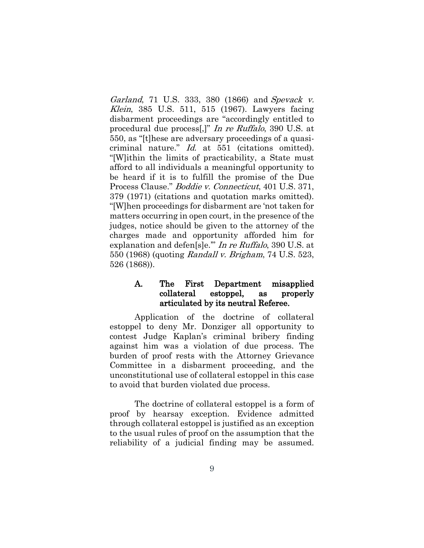Garland, 71 U.S. 333, 380 (1866) and Spevack v. Klein, 385 U.S. 511, 515 (1967). Lawyers facing disbarment proceedings are "accordingly entitled to procedural due process[,]" In re Ruffalo, 390 U.S. at 550, as "[t]hese are adversary proceedings of a quasicriminal nature." Id. at 551 (citations omitted). "[W]ithin the limits of practicability, a State must afford to all individuals a meaningful opportunity to be heard if it is to fulfill the promise of the Due Process Clause." Boddie v. Connecticut, 401 U.S. 371, 379 (1971) (citations and quotation marks omitted). "[W]hen proceedings for disbarment are 'not taken for matters occurring in open court, in the presence of the judges, notice should be given to the attorney of the charges made and opportunity afforded him for explanation and defen[s]e.'" In re Ruffalo, 390 U.S. at 550 (1968) (quoting Randall v. Brigham, 74 U.S. 523, 526 (1868)).

### A. The First Department misapplied collateral estoppel, as properly articulated by its neutral Referee.

Application of the doctrine of collateral estoppel to deny Mr. Donziger all opportunity to contest Judge Kaplan's criminal bribery finding against him was a violation of due process. The burden of proof rests with the Attorney Grievance Committee in a disbarment proceeding, and the unconstitutional use of collateral estoppel in this case to avoid that burden violated due process.

The doctrine of collateral estoppel is a form of proof by hearsay exception. Evidence admitted through collateral estoppel is justified as an exception to the usual rules of proof on the assumption that the reliability of a judicial finding may be assumed.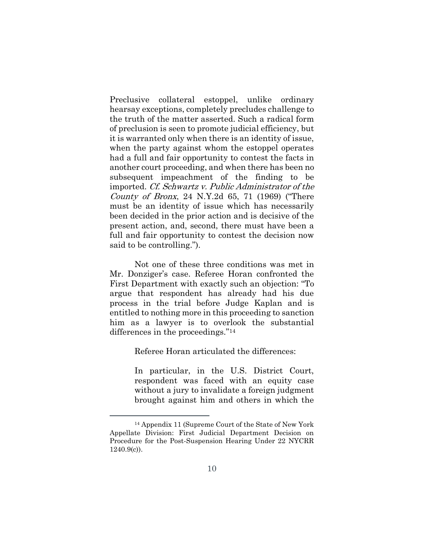Preclusive collateral estoppel, unlike ordinary hearsay exceptions, completely precludes challenge to the truth of the matter asserted. Such a radical form of preclusion is seen to promote judicial efficiency, but it is warranted only when there is an identity of issue, when the party against whom the estoppel operates had a full and fair opportunity to contest the facts in another court proceeding, and when there has been no subsequent impeachment of the finding to be imported. Cf. Schwartz v. Public Administrator of the County of Bronx, 24 N.Y.2d 65, 71 (1969) ("There must be an identity of issue which has necessarily been decided in the prior action and is decisive of the present action, and, second, there must have been a full and fair opportunity to contest the decision now said to be controlling.").

Not one of these three conditions was met in Mr. Donziger's case. Referee Horan confronted the First Department with exactly such an objection: "To argue that respondent has already had his due process in the trial before Judge Kaplan and is entitled to nothing more in this proceeding to sanction him as a lawyer is to overlook the substantial differences in the proceedings."<sup>14</sup>

Referee Horan articulated the differences:

In particular, in the U.S. District Court, respondent was faced with an equity case without a jury to invalidate a foreign judgment brought against him and others in which the

<sup>14</sup> Appendix 11 (Supreme Court of the State of New York Appellate Division: First Judicial Department Decision on Procedure for the Post-Suspension Hearing Under 22 NYCRR  $1240.9(c)$ .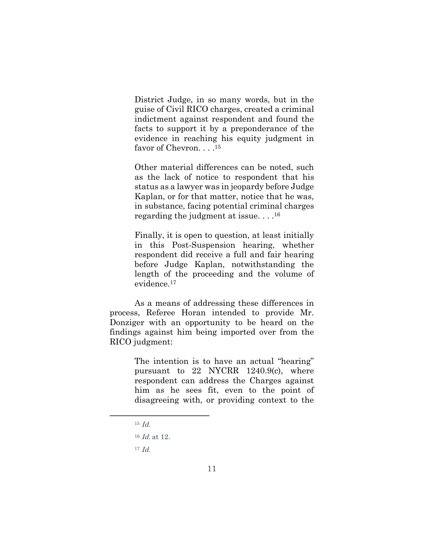District Judge, in so many words, but in the guise of Civil RICO charges, created a criminal indictment against respondent and found the facts to support it by a preponderance of the evidence in reaching his equity judgment in favor of Chevron. . . .<sup>15</sup>

Other material differences can be noted, such as the lack of notice to respondent that his status as a lawyer was in jeopardy before Judge Kaplan, or for that matter, notice that he was, in substance, facing potential criminal charges regarding the judgment at issue. . . . 16

Finally, it is open to question, at least initially in this Post-Suspension hearing, whether respondent did receive a full and fair hearing before Judge Kaplan, notwithstanding the length of the proceeding and the volume of evidence.<sup>17</sup>

As a means of addressing these differences in process, Referee Horan intended to provide Mr. Donziger with an opportunity to be heard on the findings against him being imported over from the RICO judgment:

> The intention is to have an actual "hearing" pursuant to 22 NYCRR 1240.9(c), where respondent can address the Charges against him as he sees fit, even to the point of disagreeing with, or providing context to the

 $15$  *Id.* 

<sup>16</sup> Id. at 12.

 $17$  *Id.*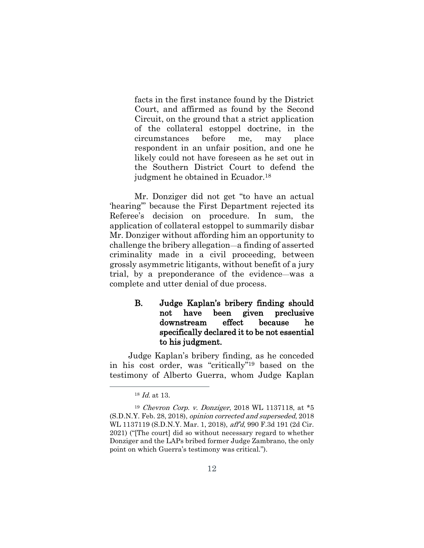facts in the first instance found by the District Court, and affirmed as found by the Second Circuit, on the ground that a strict application of the collateral estoppel doctrine, in the circumstances before me, may place respondent in an unfair position, and one he likely could not have foreseen as he set out in the Southern District Court to defend the judgment he obtained in Ecuador.<sup>18</sup>

Mr. Donziger did not get "to have an actual 'hearing'" because the First Department rejected its Referee's decision on procedure. In sum, the application of collateral estoppel to summarily disbar Mr. Donziger without affording him an opportunity to challenge the bribery allegation—a finding of asserted criminality made in a civil proceeding, between grossly asymmetric litigants, without benefit of a jury trial, by a preponderance of the evidence—was a complete and utter denial of due process.

## B. Judge Kaplan's bribery finding should not have been given preclusive downstream effect because he specifically declared it to be not essential to his judgment.

Judge Kaplan's bribery finding, as he conceded in his cost order, was "critically" <sup>19</sup> based on the testimony of Alberto Guerra, whom Judge Kaplan

<sup>18</sup> Id. at 13.

<sup>19</sup> Chevron Corp. v. Donziger, 2018 WL 1137118, at \*5 (S.D.N.Y. Feb. 28, 2018), opinion corrected and superseded, 2018 WL 1137119 (S.D.N.Y. Mar. 1, 2018), aff'd, 990 F.3d 191 (2d Cir. 2021) ("[The court] did so without necessary regard to whether Donziger and the LAPs bribed former Judge Zambrano, the only point on which Guerra's testimony was critical.").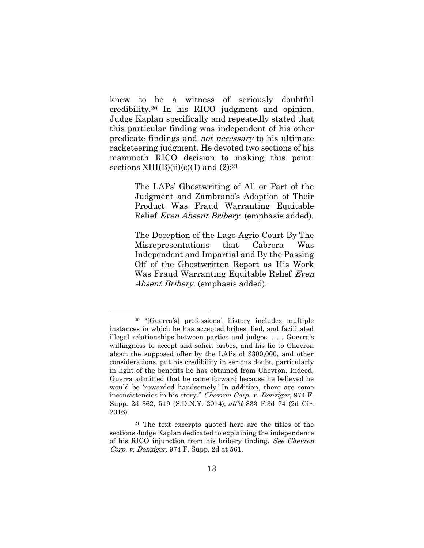knew to be a witness of seriously doubtful credibility.<sup>20</sup> In his RICO judgment and opinion, Judge Kaplan specifically and repeatedly stated that this particular finding was independent of his other predicate findings and not necessary to his ultimate racketeering judgment. He devoted two sections of his mammoth RICO decision to making this point: sections  $XIII(B)(ii)(c)(1)$  and  $(2):^{21}$ 

> The LAPs' Ghostwriting of All or Part of the Judgment and Zambrano's Adoption of Their Product Was Fraud Warranting Equitable Relief Even Absent Bribery. (emphasis added).

> The Deception of the Lago Agrio Court By The Misrepresentations that Cabrera Was Independent and Impartial and By the Passing Off of the Ghostwritten Report as His Work Was Fraud Warranting Equitable Relief Even Absent Bribery. (emphasis added).

<sup>20</sup> "[Guerra's] professional history includes multiple instances in which he has accepted bribes, lied, and facilitated illegal relationships between parties and judges. . . . Guerra's willingness to accept and solicit bribes, and his lie to Chevron about the supposed offer by the LAPs of \$300,000, and other considerations, put his credibility in serious doubt, particularly in light of the benefits he has obtained from Chevron. Indeed, Guerra admitted that he came forward because he believed he would be 'rewarded handsomely.' In addition, there are some inconsistencies in his story." Chevron Corp. v. Donziger, 974 F. Supp. 2d 362, 519 (S.D.N.Y. 2014), aff'd, 833 F.3d 74 (2d Cir. 2016).

<sup>21</sup> The text excerpts quoted here are the titles of the sections Judge Kaplan dedicated to explaining the independence of his RICO injunction from his bribery finding. See Chevron Corp. v. Donziger, 974 F. Supp. 2d at 561.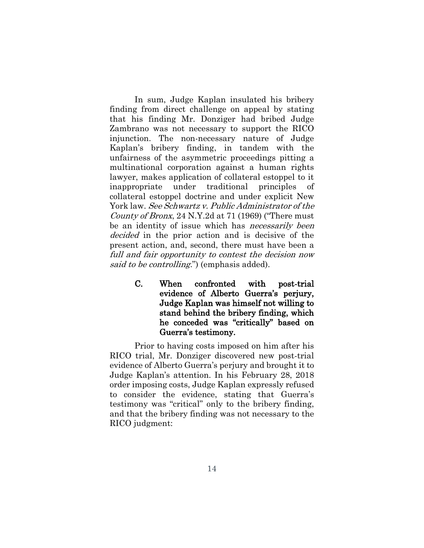In sum, Judge Kaplan insulated his bribery finding from direct challenge on appeal by stating that his finding Mr. Donziger had bribed Judge Zambrano was not necessary to support the RICO injunction. The non-necessary nature of Judge Kaplan's bribery finding, in tandem with the unfairness of the asymmetric proceedings pitting a multinational corporation against a human rights lawyer, makes application of collateral estoppel to it inappropriate under traditional principles of collateral estoppel doctrine and under explicit New York law. See Schwartz v. Public Administrator of the County of Bronx, 24 N.Y.2d at 71 (1969) ("There must be an identity of issue which has *necessarily been* decided in the prior action and is decisive of the present action, and, second, there must have been a full and fair opportunity to contest the decision now said to be controlling.") (emphasis added).

> C. When confronted with post-trial evidence of Alberto Guerra's perjury, Judge Kaplan was himself not willing to stand behind the bribery finding, which he conceded was "critically" based on Guerra's testimony.

Prior to having costs imposed on him after his RICO trial, Mr. Donziger discovered new post-trial evidence of Alberto Guerra's perjury and brought it to Judge Kaplan's attention. In his February 28, 2018 order imposing costs, Judge Kaplan expressly refused to consider the evidence, stating that Guerra's testimony was "critical" only to the bribery finding, and that the bribery finding was not necessary to the RICO judgment: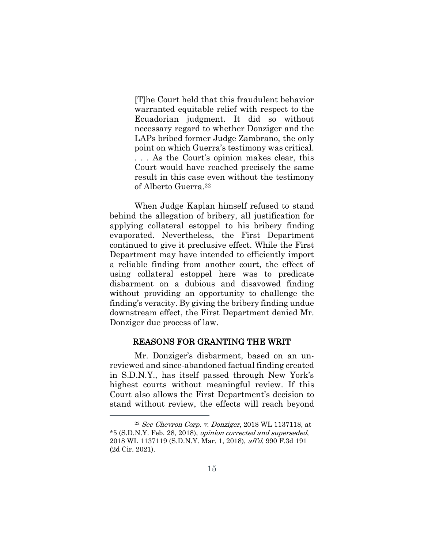[T]he Court held that this fraudulent behavior warranted equitable relief with respect to the Ecuadorian judgment. It did so without necessary regard to whether Donziger and the LAPs bribed former Judge Zambrano, the only point on which Guerra's testimony was critical. . . . As the Court's opinion makes clear, this Court would have reached precisely the same result in this case even without the testimony of Alberto Guerra.<sup>22</sup>

When Judge Kaplan himself refused to stand behind the allegation of bribery, all justification for applying collateral estoppel to his bribery finding evaporated. Nevertheless, the First Department continued to give it preclusive effect. While the First Department may have intended to efficiently import a reliable finding from another court, the effect of using collateral estoppel here was to predicate disbarment on a dubious and disavowed finding without providing an opportunity to challenge the finding's veracity. By giving the bribery finding undue downstream effect, the First Department denied Mr. Donziger due process of law.

#### REASONS FOR GRANTING THE WRIT

Mr. Donziger's disbarment, based on an unreviewed and since-abandoned factual finding created in S.D.N.Y., has itself passed through New York's highest courts without meaningful review. If this Court also allows the First Department's decision to stand without review, the effects will reach beyond

 $22$  See Chevron Corp. v. Donziger, 2018 WL 1137118, at \*5 (S.D.N.Y. Feb. 28, 2018), opinion corrected and superseded, 2018 WL 1137119 (S.D.N.Y. Mar. 1, 2018), aff'd, 990 F.3d 191 (2d Cir. 2021).